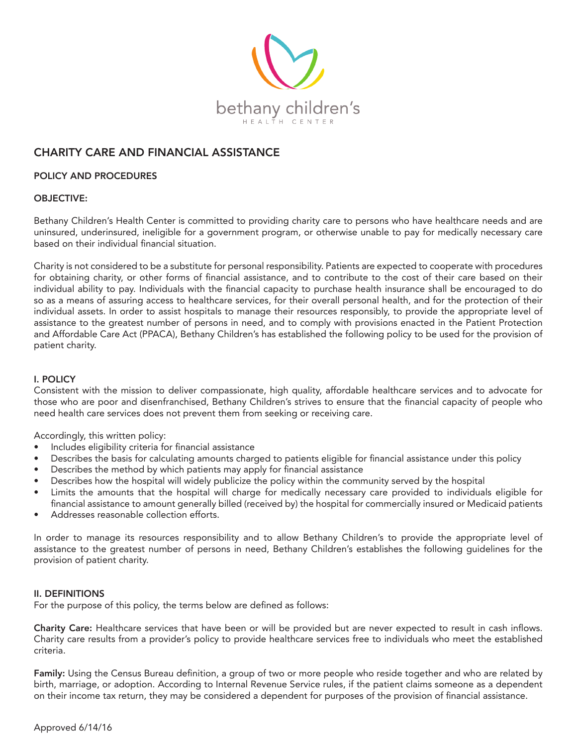

# CHARITY CARE AND FINANCIAL ASSISTANCE

## POLICY AND PROCEDURES

### OBJECTIVE:

Bethany Children's Health Center is committed to providing charity care to persons who have healthcare needs and are uninsured, underinsured, ineligible for a government program, or otherwise unable to pay for medically necessary care based on their individual financial situation.

Charity is not considered to be a substitute for personal responsibility. Patients are expected to cooperate with procedures for obtaining charity, or other forms of financial assistance, and to contribute to the cost of their care based on their individual ability to pay. Individuals with the financial capacity to purchase health insurance shall be encouraged to do so as a means of assuring access to healthcare services, for their overall personal health, and for the protection of their individual assets. In order to assist hospitals to manage their resources responsibly, to provide the appropriate level of assistance to the greatest number of persons in need, and to comply with provisions enacted in the Patient Protection and Affordable Care Act (PPACA), Bethany Children's has established the following policy to be used for the provision of patient charity.

# I. POLICY

Consistent with the mission to deliver compassionate, high quality, affordable healthcare services and to advocate for those who are poor and disenfranchised, Bethany Children's strives to ensure that the financial capacity of people who need health care services does not prevent them from seeking or receiving care.

Accordingly, this written policy:

- Includes eligibility criteria for financial assistance
- Describes the basis for calculating amounts charged to patients eligible for financial assistance under this policy
- Describes the method by which patients may apply for financial assistance
- Describes how the hospital will widely publicize the policy within the community served by the hospital
- Limits the amounts that the hospital will charge for medically necessary care provided to individuals eligible for financial assistance to amount generally billed (received by) the hospital for commercially insured or Medicaid patients
- Addresses reasonable collection efforts.

In order to manage its resources responsibility and to allow Bethany Children's to provide the appropriate level of assistance to the greatest number of persons in need, Bethany Children's establishes the following guidelines for the provision of patient charity.

#### II. DEFINITIONS

For the purpose of this policy, the terms below are defined as follows:

Charity Care: Healthcare services that have been or will be provided but are never expected to result in cash inflows. Charity care results from a provider's policy to provide healthcare services free to individuals who meet the established criteria.

Family: Using the Census Bureau definition, a group of two or more people who reside together and who are related by birth, marriage, or adoption. According to Internal Revenue Service rules, if the patient claims someone as a dependent on their income tax return, they may be considered a dependent for purposes of the provision of financial assistance.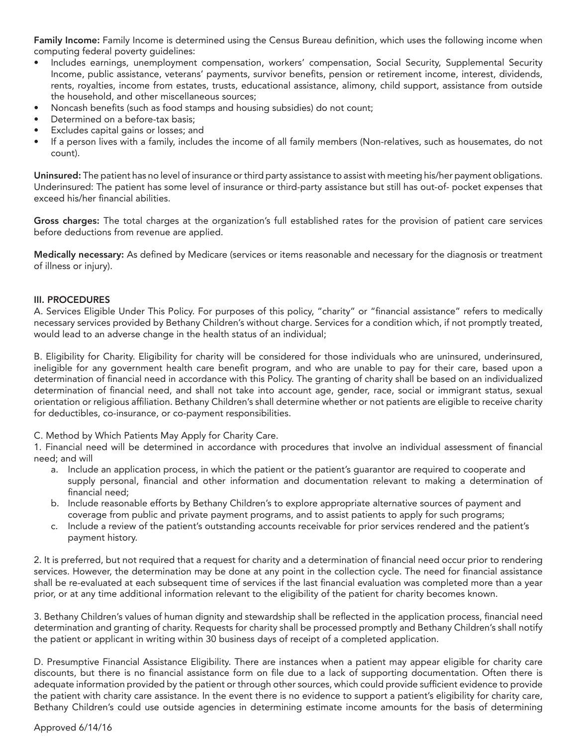Family Income: Family Income is determined using the Census Bureau definition, which uses the following income when computing federal poverty guidelines:

- Includes earnings, unemployment compensation, workers' compensation, Social Security, Supplemental Security Income, public assistance, veterans' payments, survivor benefits, pension or retirement income, interest, dividends, rents, royalties, income from estates, trusts, educational assistance, alimony, child support, assistance from outside the household, and other miscellaneous sources;
- Noncash benefits (such as food stamps and housing subsidies) do not count;
- Determined on a before-tax basis;
- Excludes capital gains or losses; and
- If a person lives with a family, includes the income of all family members (Non-relatives, such as housemates, do not count).

Uninsured: The patient has no level of insurance or third party assistance to assist with meeting his/her payment obligations. Underinsured: The patient has some level of insurance or third-party assistance but still has out-of- pocket expenses that exceed his/her financial abilities.

Gross charges: The total charges at the organization's full established rates for the provision of patient care services before deductions from revenue are applied.

Medically necessary: As defined by Medicare (services or items reasonable and necessary for the diagnosis or treatment of illness or injury).

# III. PROCEDURES

A. Services Eligible Under This Policy. For purposes of this policy, "charity" or "financial assistance" refers to medically necessary services provided by Bethany Children's without charge. Services for a condition which, if not promptly treated, would lead to an adverse change in the health status of an individual;

B. Eligibility for Charity. Eligibility for charity will be considered for those individuals who are uninsured, underinsured, ineligible for any government health care benefit program, and who are unable to pay for their care, based upon a determination of financial need in accordance with this Policy. The granting of charity shall be based on an individualized determination of financial need, and shall not take into account age, gender, race, social or immigrant status, sexual orientation or religious affiliation. Bethany Children's shall determine whether or not patients are eligible to receive charity for deductibles, co-insurance, or co-payment responsibilities.

C. Method by Which Patients May Apply for Charity Care.

1. Financial need will be determined in accordance with procedures that involve an individual assessment of financial need; and will

- a. Include an application process, in which the patient or the patient's guarantor are required to cooperate and supply personal, financial and other information and documentation relevant to making a determination of financial need;
- b. Include reasonable efforts by Bethany Children's to explore appropriate alternative sources of payment and coverage from public and private payment programs, and to assist patients to apply for such programs;
- c. Include a review of the patient's outstanding accounts receivable for prior services rendered and the patient's payment history.

2. It is preferred, but not required that a request for charity and a determination of financial need occur prior to rendering services. However, the determination may be done at any point in the collection cycle. The need for financial assistance shall be re-evaluated at each subsequent time of services if the last financial evaluation was completed more than a year prior, or at any time additional information relevant to the eligibility of the patient for charity becomes known.

3. Bethany Children's values of human dignity and stewardship shall be reflected in the application process, financial need determination and granting of charity. Requests for charity shall be processed promptly and Bethany Children's shall notify the patient or applicant in writing within 30 business days of receipt of a completed application.

D. Presumptive Financial Assistance Eligibility. There are instances when a patient may appear eligible for charity care discounts, but there is no financial assistance form on file due to a lack of supporting documentation. Often there is adequate information provided by the patient or through other sources, which could provide sufficient evidence to provide the patient with charity care assistance. In the event there is no evidence to support a patient's eligibility for charity care, Bethany Children's could use outside agencies in determining estimate income amounts for the basis of determining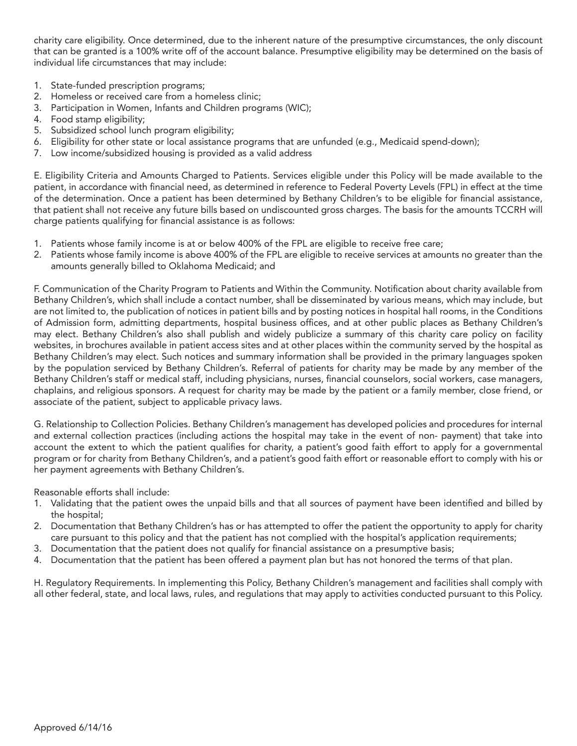charity care eligibility. Once determined, due to the inherent nature of the presumptive circumstances, the only discount that can be granted is a 100% write off of the account balance. Presumptive eligibility may be determined on the basis of individual life circumstances that may include:

- 1. State-funded prescription programs;
- 2. Homeless or received care from a homeless clinic;
- 3. Participation in Women, Infants and Children programs (WIC);
- 4. Food stamp eligibility;
- 5. Subsidized school lunch program eligibility;
- 6. Eligibility for other state or local assistance programs that are unfunded (e.g., Medicaid spend-down);
- 7. Low income/subsidized housing is provided as a valid address

E. Eligibility Criteria and Amounts Charged to Patients. Services eligible under this Policy will be made available to the patient, in accordance with financial need, as determined in reference to Federal Poverty Levels (FPL) in effect at the time of the determination. Once a patient has been determined by Bethany Children's to be eligible for financial assistance, that patient shall not receive any future bills based on undiscounted gross charges. The basis for the amounts TCCRH will charge patients qualifying for financial assistance is as follows:

- 1. Patients whose family income is at or below 400% of the FPL are eligible to receive free care;
- 2. Patients whose family income is above 400% of the FPL are eligible to receive services at amounts no greater than the amounts generally billed to Oklahoma Medicaid; and

F. Communication of the Charity Program to Patients and Within the Community. Notification about charity available from Bethany Children's, which shall include a contact number, shall be disseminated by various means, which may include, but are not limited to, the publication of notices in patient bills and by posting notices in hospital hall rooms, in the Conditions of Admission form, admitting departments, hospital business offices, and at other public places as Bethany Children's may elect. Bethany Children's also shall publish and widely publicize a summary of this charity care policy on facility websites, in brochures available in patient access sites and at other places within the community served by the hospital as Bethany Children's may elect. Such notices and summary information shall be provided in the primary languages spoken by the population serviced by Bethany Children's. Referral of patients for charity may be made by any member of the Bethany Children's staff or medical staff, including physicians, nurses, financial counselors, social workers, case managers, chaplains, and religious sponsors. A request for charity may be made by the patient or a family member, close friend, or associate of the patient, subject to applicable privacy laws.

G. Relationship to Collection Policies. Bethany Children's management has developed policies and procedures for internal and external collection practices (including actions the hospital may take in the event of non- payment) that take into account the extent to which the patient qualifies for charity, a patient's good faith effort to apply for a governmental program or for charity from Bethany Children's, and a patient's good faith effort or reasonable effort to comply with his or her payment agreements with Bethany Children's.

Reasonable efforts shall include:

- 1. Validating that the patient owes the unpaid bills and that all sources of payment have been identified and billed by the hospital;
- 2. Documentation that Bethany Children's has or has attempted to offer the patient the opportunity to apply for charity care pursuant to this policy and that the patient has not complied with the hospital's application requirements;
- 3. Documentation that the patient does not qualify for financial assistance on a presumptive basis;
- 4. Documentation that the patient has been offered a payment plan but has not honored the terms of that plan.

H. Regulatory Requirements. In implementing this Policy, Bethany Children's management and facilities shall comply with all other federal, state, and local laws, rules, and regulations that may apply to activities conducted pursuant to this Policy.